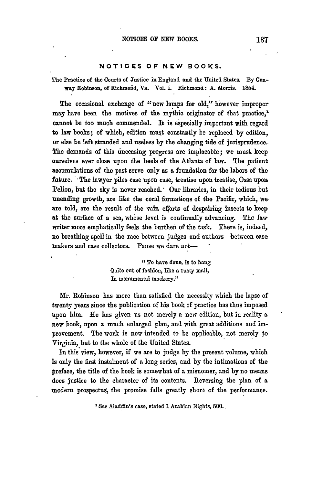## **NOTICES** OF **NEW** BOOKS.

The Practice of the Courts of Justice in England and the United States. **By** Conway Robinson, of Richinoiid, Va. Vol. **I.** Richmond: **A.** Morris. 1854.

The occasional exchange of "new lamps for old," however improper **may** have been the motives of the mythic originator of that practice," cannot be too much commended. It is especially important with regard to law books; of which, edition must constantly be replaced **by** edition, or else be left stranded and useless **by** the changing tide of jurisprudence. The demands of this inceasing progress are implacable; we must. keep ourselves ever close upon the heels of the Atlanta of law. The patient accumulations of the past serve only as a foundation for the labors of the future. The lawyer piles case upon case, treatise upon treatise, Ossa upon Pelion, but the sky is never reached.' Our libraries, in their tedious but unending growth, are like the coral formations of the Pacific, which, we are told, are the result of the vain efforts of despairing insects to keep at the surface of a sea, whose level is continually advancing. The law writer more emphatically feels the burthen of the task. There is, indeed, no breathing spell in the race between judges and authors-between case makers and case collectors. Pause we dare not-

> **"To** have done, is to hang Quite out of fashionj like **a** rusty mail, In monumental mockery."

Mr. Robinson has more than satisfied the necessity which the lapse of twenty years since the publication of his book of practice has thus imposed upon him. He has given us not merely a new edition, **but** in reality a new book, upon a much enlarged plan, and with great additions and improvement. The work is now intended to be applicable, not merely **to** Virginia, but to the whole of the United States.

In this view, however, if we are to judge **by** the present volume, which is only the first instalment of a long series, and **by** the intimations of the preface, the title of the book is somewhat of a misnomer, and **by** no means does justice to the character of its contents. Reversing the plan of a modern prospectus, the promise falls greatly short of the performance.

' See Aladdin's case, stated **1** Arabian Nights, **500.**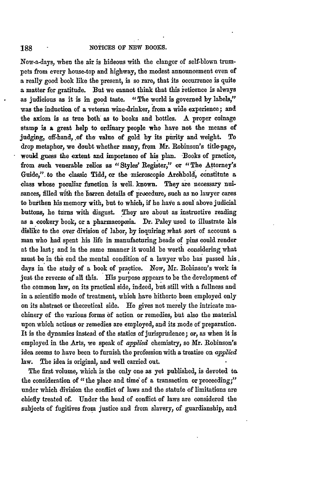Now-a-days, when the air is hideous with the clangor of self-blown trumpets from every house-top and highway, the modest announcement even of **a** really good book like the present, is so rare, that its occurrence is quite **a** matter for gratitude. But we cannot think that this 'eticence is always as judicious as it is in good taste. "The world is governed by labels," was the induction of a veteran wine-drinker, from a wide experience; and the axiom is as true both as to books and bottles. A proper coinage stamp is **a** great help to ordinary people who have not the means of judging, off-hand, of the value of gold **by** its purity and weight. To drop metaphor, we doubt whether many, from **Mr.** Robinson's title-page, would guess the extent and importance of his plan. -Books of practice, from such venerable relics as "Styles' Register," or "The Attorney's Guide,". to the classic Tidd, or the microscopic Archbold, constitute a class whose peculiar function is well. known. They are necessary nuisances, filled with the barren details of procedure, such as no lawyer cares to burthen his memory with, but to which, if he have a soul above judicial buttons, he turns with disgust. They are about as instructive reading as a cookery book, or a pharmacopœia. Dr. Paley used to illustrate his dislike to the over division of labor, **by** inquiring .what sort of account a man who had spent his life in manufacturing heads of pins could render at the last; and in the same manner it would be worth considering what must be in the end the mental condition of a lawyer who has passed his. days in the study of a book of practice. Now, Mr. Robinson's work is just the reverse of all this. His purpose appears to be the development of the common law, on its practical side, indeed, but still with **a** fullness and in a scientific mode of treatment, which have hitherto been employed only on its abstract or theoretical side. He gives not merely the intricate machinery of the various forms **bf** action or remedies, but also the material upon which actions or remedies are employed, and its mode of preparation. It is the dynamics instead of the statics of jurisprudence; or, as when it is employed in the Arts, we speak of *aplied* chemistry, so Mr. Robinson's idea seems to have been to furnish the profession with a treatise on *applied* law. The idea is original, and well carried out.

The first volume, which is the only one as yet published, is devoted to. the consideration of "the place and time of a transaction or proceeding;" under which division the conflict of laws and the statute of limitations **are** chiefly treated of. Under the head of conflict of laws are considered the subjects of fugitives from justice and from slavery, of guardianship, and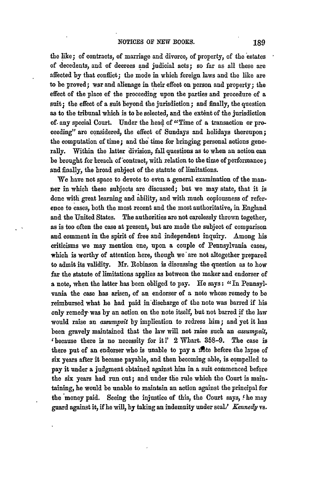the like; of contracts, of marriage and divorce, of property, of the estates of decedents, and of decrees and judicial acts; so far as all these are affected **by** that conffict; the mode in which foreign laws and the like are to be proved; war and alienage in their effect on person and property; the effect of the place of the proceeding upon the parties and procedure of a suit; the effect of a suit beyond the jurisdiction; and finally, the question as to the tribunal which is to be selected, and the extent of the jurisdiction of. any special Court. Under the head of "Time of a transaction or proceeding" are considered, the effect of Sundays and holidays thereupon; the computation of time; and **the** time for bringing personal actions generally. Within the latter division, fall questions as to when an action **can** be brought for breach of'contract, with relation to the time of performance; and finally, the broad subject of the statute of limitations.

We have not space to devote to even a general examination of the man**ner** in which these subjects are discussed; but we may state, that it is done with great learning and ability, and with much copiousness of reference to cases, both the most recent and the most authoritative, in England and the United States. The authorities are not carelessly thrown together, as is too often the case at present, but are made the subject of comparison and comment in the spirit of free and independent inquiry. Among his criticisms we may mention one, upon a couple of Pennsylvania cases, which is worthy of attention here, though we are not altogether prepared to admit its validity. Mr. Robinson is discussing the question as to how far the statute of limitations applies as between the maker and endorser of **a** note, when the latter has been obliged to pay. **He** says: **"In** Pennsylvania the case has arisen, of an endorser of a note whose remedy to be reimbursed what he bad paid in'discharge of the note was barred if his only remedy- was **by** an action on the note itself, but not barred if the law would raise an *assumypsit* **by** implication to redress him; and yet it has been gravely maintained that the law will not raise such an *assumpsit,* 'because there is no necessity for it!' 2 Whart. **358-9.** The case is there put of an endorser who is unable to pay a note before the lapse of six years after it became payable, and then becoming able, is compelled to pay it under a judgment obtained against him in a suit commenced before the six years had run out; and under the rule which the Court is maintaining, he would be unable to maintain an action against the principal for the money paid. Seeing the injustice of this, the Court says, **.he** may guard against it, if he will, by taking an indemnity under seal? *Kennedy vs.*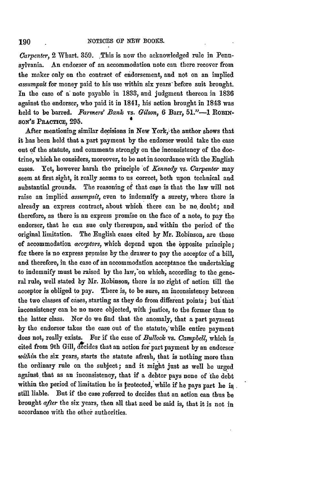*Carpenter,* 2 Whart. 359. This is now the acknowledged rule in Pennsylvania. An endorser of an accommodation note can there recover from the maker only on the contract of endorsement, and not on an implied *assumpsit* for money paid to his use within six years'before suit brought. In the case of **a** note payable in 1833, and judgment thereon in 1836 against the endorser, who paid it in 1841, **his** action brought in 1843 was held to be barred. *Farmers' Bank* vs. *Gilson,* **6** Barr, **51."-1** ROmN*soN's* **PRACCE, 295. <sup>4</sup>**

After mentioning similar decisions in New York, the author shows that it has been held that a part payment **by** the endorser would take the case out **of** the statute, and comments strongly on the inconsistency of the doctrine, which he considers, moreover, to **be** not in accordance with the English cases. Yet, however harsh the principle 'of *Kennedy* vs. *Carpenter* may seem at first sight, it really seems to us correct, both upon technical and substantial grounds. The reasoning **of** that case is that the law will not raise an implied *assurnpsit,* even to indemnify a surety, where there is already an express contract, about which there can be no. doubt; and therefore, as there is an express promise on the face of a note, to pay the endorser, that he can sue only thereupon, and within the period of the original limitation. The English cases cited by Mr. Robinson, are those of accommodation *acceptors,* which depend upon the bpposite principle; for there is no express promise **by** the drawer to pay the accepfor of a bill, and therefore, in the case of an accommodation acceptance the undertaking to indemnify must be raised by the law, on which, according to the general rule, well stated by Mr. Robinson, there is no right of action till the acceptor is obliged to pay. There is, to be sure, an inconsistency between the two classes of cases, starting as they do from different points; but that inconsistency can be no more objected, with justice, to the former than to the latter class. Nor do we find that the anomaly, that a part payment **by** the endorser takes the ease out of the statute, while entire payment does not, really exists. For if the case of *Bullock* vs. *Campbell,* which is cited from 9th Gill, decides that an action for-part payment **by** an endorser *within* the six years, starts the statute afresh, that is nothing more than the ordinary rule on the subject; and it might just as well be urged against that as an inconsistency, that if a debtor pays none of the debt within the period of limitation he is protected, while if he pays part he is. still liable. But if the case referred to decides that an action can thus **be** brought *after* the six years, then all that need be said is, that it is not in accordance with the other authorities.

190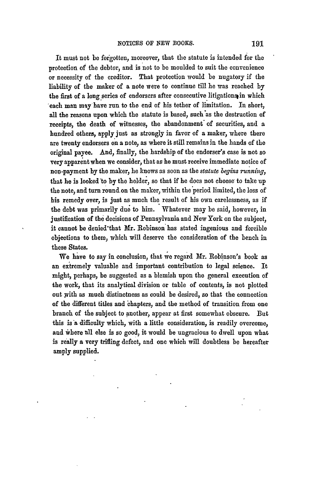It must not **be** forgotten, moreover, that the statute is intended for the protection of the debtor, and is not to be moulded to suit the convenience or necessity of the creditor. That protection would be nugatory if the liability of the maker of a note were to continue till he was reached **by** the first of a long series of endorsers after consecutive litigations in which each man **may** have run to the end of his tether of limitation. **In** short, all the reasons upon which the statute is based, such'as the destruction of receipts, the death of witnesses, the abandonment of securities, and a hundred others, apply just as strongly in favor of a maker, where there are twenty endorsers on a note, as where it still remains in the hands of the original payee. And, finally, the hardship of the endorser's case is not so very apparent when we consider, that as he must receive immediate notice of non-payment **by** the maker, he knows as soon as the *statute begins running,* that he is looked to by the holder, so that if he does not choose to take up the note, and turn round on the maker, within the period limited, the loss of his remedy over, is just as much the result of his own carelessness, as if the debt was primarily due to him. Whatever may be said, however, in justification of the decisions of Pennsylvania and New York on the subject, it cannot be denied'that Mr. Robinson has stated ingenious and forcible objections to them, which will deserve the consideration of the bench in these States.

We have to say in conclusion, that we regard Mr. Robinson's book as an extremely valuable and important contribution to legal science. It might, perhaps, be suggested as a blemish upon the general execution of the work, that its analytical division or table of contents, is not plotted out with as much distinctness as could be desired, so that the connection of the different titles and chapters, and the method of transition from one branch of the subject to another, appear at first somewhat obscure. But this is a difficulty which, with a little consideration, is readily overcome, and where all else is so good, it would be ungracious to dwell upon what is really a very trifling defect, and one which will doubtless be hereafter amply supplied.